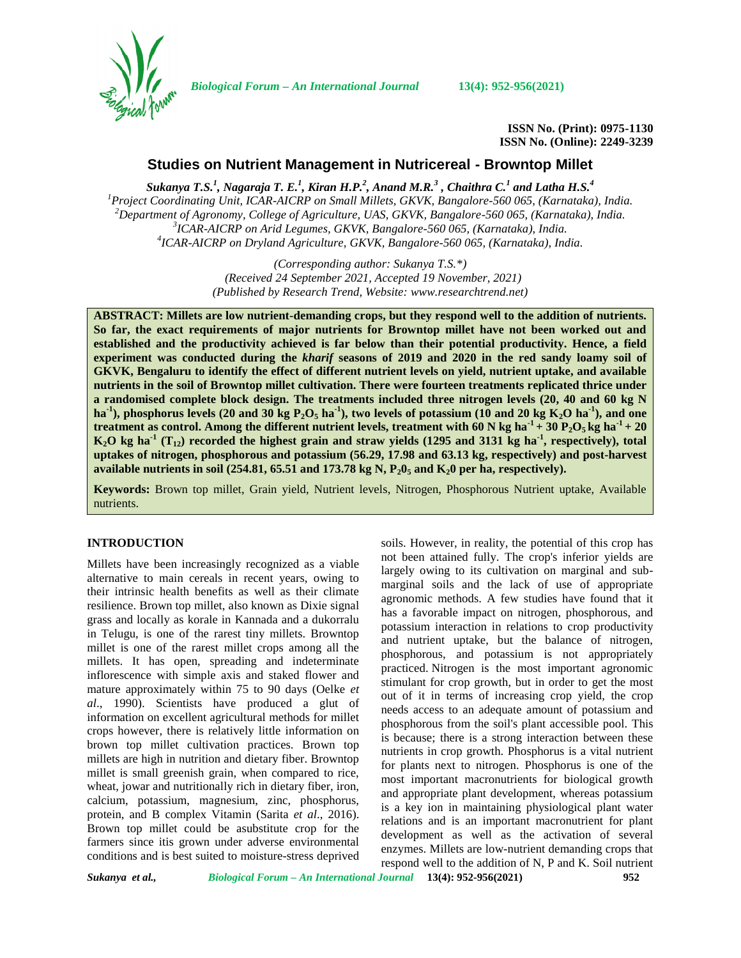*Biological Forum – An International Journal* **13(4): 952-956(2021)**

**ISSN No. (Print): 0975-1130 ISSN No. (Online): 2249-3239**

# **Studies on Nutrient Management in Nutricereal - Browntop Millet**

*Sukanya T.S.<sup>1</sup> , Nagaraja T. E.<sup>1</sup> , Kiran H.P.<sup>2</sup> , Anand M.R.<sup>3</sup> , Chaithra C.<sup>1</sup> and Latha H.S.<sup>4</sup>*  $^1$ Project Coordinating Unit, ICAR-AICRP on Small Millets, GKVK, Bangalore-560 065, (Karnataka), India.<br>
<sup>2</sup>Department of Agronomy, College of Agriculture, UAS, GKVK, Bangalore-560 065, (Karnataka), India.<br>
<sup>3</sup>ICAR-AICRP

> *(Corresponding author: Sukanya T.S.\*) (Received 24 September 2021, Accepted 19 November, 2021) (Published by Research Trend, Website: [www.researchtrend.net\)](www.researchtrend.net)*

**ABSTRACT: Millets are low nutrient-demanding crops, but they respond well to the addition of nutrients. So far, the exact requirements of major nutrients for Browntop millet have not been worked out and established and the productivity achieved is far below than their potential productivity. Hence, a field experiment was conducted during the** *kharif* **seasons of 2019 and 2020 in the red sandy loamy soil of GKVK, Bengaluru to identify the effect of different nutrient levels on yield, nutrient uptake, and available nutrients in the soil of Browntop millet cultivation. There were fourteen treatments replicated thrice under a randomised complete block design. The treatments included three nitrogen levels (20, 40 and 60 kg N**  $h$ **a**<sup>-1</sup>), phosphorus levels (20 and 30 kg  $P_2O_5$   $h$ <sup>2</sup>), two levels of potassium (10 and 20 kg  $K_2O$   $h$ a<sup>-1</sup>), and one **treatment as control. Among the different nutrient levels, treatment with 60 N kg ha** $^{-1}$  **+ 30 P<sub>2</sub>O<sub>5</sub> kg ha** $^{-1}$  **+ 20**  $K_2O$  kg ha<sup>-1</sup> (T<sub>12</sub>) recorded the highest grain and straw yields (1295 and 3131 kg ha<sup>-1</sup>, respectively), total **uptakes of nitrogen, phosphorous and potassium (56.29, 17.98 and 63.13 kg, respectively) and post-harvest available nutrients in soil (254.81, 65.51 and 173.78 kg N,**  $P_2O_5$  **and**  $K_2O$  **per ha, respectively).** 

**Keywords:** Brown top millet, Grain yield, Nutrient levels, Nitrogen, Phosphorous Nutrient uptake, Available nutrients.

#### **INTRODUCTION**

Millets have been increasingly recognized as a viable alternative to main cereals in recent years, owing to their intrinsic health benefits as well as their climate resilience. Brown top millet, also known as Dixie signal grass and locally as korale in Kannada and a dukorralu in Telugu, is one of the rarest tiny millets. Browntop millet is one of the rarest millet crops among all the millets. It has open, spreading and indeterminate inflorescence with simple axis and staked flower and mature approximately within 75 to 90 days (Oelke *et al*., 1990). Scientists have produced a glut of information on excellent agricultural methods for millet crops however, there is relatively little information on brown top millet cultivation practices. Brown top millets are high in nutrition and dietary fiber. Browntop millet is small greenish grain, when compared to rice, wheat, jowar and nutritionally rich in dietary fiber, iron, calcium, potassium, magnesium, zinc, phosphorus, protein, and B complex Vitamin (Sarita *et al*., 2016). Brown top millet could be asubstitute crop for the farmers since itis grown under adverse environmental conditions and is best suited to moisture-stress deprived

soils. However, in reality, the potential of this crop has not been attained fully. The crop's inferior yields are largely owing to its cultivation on marginal and sub marginal soils and the lack of use of appropriate agronomic methods. A few studies have found that it has a favorable impact on nitrogen, phosphorous, and potassium interaction in relations to crop productivity and nutrient uptake, but the balance of nitrogen, phosphorous, and potassium is not appropriately practiced. Nitrogen is the most important agronomic stimulant for crop growth, but in order to get the most out of it in terms of increasing crop yield, the crop needs access to an adequate amount of potassium and phosphorous from the soil's plant accessible pool. This is because; there is a strong interaction between these nutrients in crop growth. Phosphorus is a vital nutrient for plants next to nitrogen. Phosphorus is one of the most important macronutrients for biological growth and appropriate plant development, whereas potassium is a key ion in maintaining physiological plant water relations and is an important macronutrient for plant development as well as the activation of several enzymes. Millets are low-nutrient demanding crops that respond well to the addition of N, P and K. Soil nutrient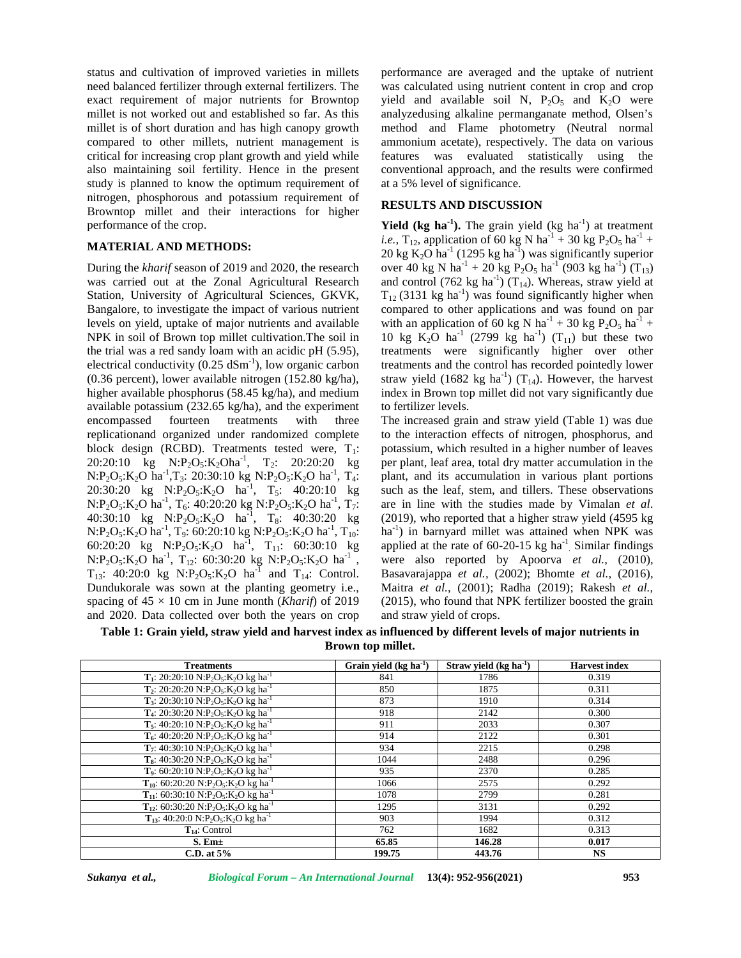status and cultivation of improved varieties in millets need balanced fertilizer through external fertilizers. The exact requirement of major nutrients for Browntop millet is not worked out and established so far. As this millet is of short duration and has high canopy growth compared to other millets, nutrient management is critical for increasing crop plant growth and yield while also maintaining soil fertility. Hence in the present study is planned to know the optimum requirement of nitrogen, phosphorous and potassium requirement of Browntop millet and their interactions for higher performance of the crop.

### **MATERIAL AND METHODS:**

During the *kharif* season of 2019 and 2020, the research was carried out at the Zonal Agricultural Research Station, University of Agricultural Sciences, GKVK, Bangalore, to investigate the impact of various nutrient levels on yield, uptake of major nutrients and available NPK in soil of Brown top millet cultivation.The soil in the trial was a red sandy loam with an acidic pH (5.95), electrical conductivity  $(0.25 \text{ dSm}^{-1})$ , low organic carbon (0.36 percent), lower available nitrogen (152.80 kg/ha), higher available phosphorus (58.45 kg/ha), and medium available potassium (232.65 kg/ha), and the experiment encompassed fourteen treatments with three replicationand organized under randomized complete block design (RCBD). Treatments tested were,  $T_1$ : 20:20:10 kg  $N: P_2O_5: K_2Oha^{-1}$ ,  $T_2: 20:20:20$  kg per p  $N: P_2O_5: K_2O$  ha<sup>-1</sup>, T<sub>3</sub>: 20:30:10 kg  $N: P_2O_5: K_2O$  ha<sup>-1</sup>, T<sub>4</sub>: [ 20:30:20 kg  $N: P_2O_5: K_2O$  ha<sup>-1</sup>, T<sub>5</sub>: 40:20:10 kg such  $N: P_2O_5: K_2O$  ha<sup>-1</sup>,  $T_6: 40:20:20$  kg  $N: P_2O_5: K_2O$  ha<sup>-1</sup>,  $T_7:$  $T_7$ : 40:30:10 kg  $N: P_2O_5: K_2O$  ha<sup>-1</sup>, T<sub>8</sub>: 40:30:20 kg (201)  $N: P_2O_5: K_2O$  ha<sup>-1</sup>, T<sub>9</sub>: 60:20:10 kg  $N: P_2O_5: K_2O$  ha<sup>-1</sup>, T<sub>10</sub>: 1 60:20:20 kg  $N: P_2O_5: K_2O$  ha<sup>-1</sup>,  $T_{11}$ : 60:30:10 kg appli  $N: P_2O_5: K_2O$  ha<sup>-1</sup>, T<sub>12</sub>: 60:30:20 kg  $N: P_2O_5: K_2O$  ha<sup>-1</sup>, we  $T_{13}$ : 40:20:0 kg N:P<sub>2</sub>O<sub>5</sub>:K<sub>2</sub>O ha<sup>-1</sup> and T<sub>14</sub>: Control. Dundukorale was sown at the planting geometry i.e., spacing of  $45 \times 10$  cm in June month (*Kharif*) of 2019 and 2020. Data collected over both the years on crop

performance are averaged and the uptake of nutrient was calculated using nutrient content in crop and crop yield and available soil N,  $P_2O_5$  and  $K_2O$  were analyzedusing alkaline permanganate method, Olsen's method and Flame photometry (Neutral normal ammonium acetate), respectively. The data on various features was evaluated statistically using the conventional approach, and the results were confirmed at a 5% level of significance.

#### **RESULTS AND DISCUSSION**

**Yield** (kg ha<sup>-1</sup>). The grain yield (kg ha<sup>-1</sup>) at treatment *i.e.*, T<sub>12</sub>, application of 60 kg N ha<sup>-1</sup> + 30 kg P<sub>2</sub>O<sub>5</sub> ha<sup>-1</sup> + 20 kg K<sub>2</sub>O ha<sup>-1</sup> (1295 kg ha<sup>-1</sup>) was significantly superior over 40 kg N ha<sup>-1</sup> + 20 kg P<sub>2</sub>O<sub>5</sub> ha<sup>-1</sup> (903 kg ha<sup>-1</sup>) (T<sub>13</sub>) and control (762 kg ha<sup>-1</sup>) (T<sub>14</sub>). Whereas, straw yield at  $T_{12}$  (3131 kg ha<sup>-1</sup>) was found significantly higher when compared to other applications and was found on par with an application of 60 kg N ha<sup>-1</sup> + 30 kg P<sub>2</sub>O<sub>5</sub> ha<sup>-1</sup> + 10 kg K<sub>2</sub>O ha<sup>-1</sup> (2799 kg ha<sup>-1</sup>) (T<sub>11</sub>) but these two treatments were significantly higher over other treatments and the control has recorded pointedly lower straw yield (1682 kg ha<sup>-1</sup>) (T<sub>14</sub>). However, the harvest index in Brown top millet did not vary significantly due to fertilizer levels.

The increased grain and straw yield (Table 1) was due to the interaction effects of nitrogen, phosphorus, and potassium, which resulted in a higher number of leaves per plant, leaf area, total dry matter accumulation in the plant, and its accumulation in various plant portions such as the leaf, stem, and tillers. These observations are in line with the studies made by Vimalan *et al*. (2019), who reported that a higher straw yield (4595 kg ha<sup>-1</sup>) in barnyard millet was attained when NPK was applied at the rate of  $60-20-15$  kg ha<sup>-1</sup> Similar findings were also reported by Apoorva *et al.,* (2010), Basavarajappa *et al.,* (2002); Bhomte *et al.,* (2016), Maitra *et al.*, (2001); Radha (2019); Rakesh *et al.,* (2015), who found that NPK fertilizer boosted the grain and straw yield of crops.

**Table 1: Grain yield, straw yield and harvest index as influenced by different levels of major nutrients in Brown top millet.**

| <b>Treatments</b>                                                                                     | Grain yield $(kg ha-1)$ | Straw yield $(kg ha-1)$ | <b>Harvest</b> index |
|-------------------------------------------------------------------------------------------------------|-------------------------|-------------------------|----------------------|
| T <sub>1</sub> : 20:20:10 N:P <sub>2</sub> O <sub>5</sub> :K <sub>2</sub> O kg ha <sup>-1</sup>       | 841                     | 1786                    | 0.319                |
| $T_2$ : 20:20:20 N:P <sub>2</sub> O <sub>5</sub> :K <sub>2</sub> O kg ha <sup>-1</sup>                | 850                     | 1875                    | 0.311                |
| <b>T<sub>3</sub></b> : 20:30:10 N:P <sub>2</sub> O <sub>5</sub> :K <sub>2</sub> O kg ha <sup>-1</sup> | 873                     | 1910                    | 0.314                |
| T <sub>4</sub> : 20:30:20 N:P <sub>2</sub> O <sub>5</sub> :K <sub>2</sub> O kg ha <sup>-1</sup>       | 918                     | 2142                    | 0.300                |
| $T_5$ : 40:20:10 N:P <sub>2</sub> O <sub>5</sub> :K <sub>2</sub> O kg ha <sup>-1</sup>                | 911                     | 2033                    | 0.307                |
| $T_6$ : 40:20:20 N:P <sub>2</sub> O <sub>5</sub> :K <sub>2</sub> O kg ha <sup>-1</sup>                | 914                     | 2122                    | 0.301                |
| $T_7$ : 40:30:10 N:P <sub>2</sub> O <sub>5</sub> :K <sub>2</sub> O kg ha <sup>-1</sup>                | 934                     | 2215                    | 0.298                |
| T <sub>8</sub> : 40:30:20 N:P <sub>2</sub> O <sub>5</sub> :K <sub>2</sub> O kg ha <sup>-1</sup>       | 1044                    | 2488                    | 0.296                |
| T <sub>9</sub> : 60:20:10 N:P <sub>2</sub> O <sub>5</sub> :K <sub>2</sub> O kg ha <sup>-1</sup>       | 935                     | 2370                    | 0.285                |
| T <sub>10</sub> : 60:20:20 N:P <sub>2</sub> O <sub>5</sub> :K <sub>2</sub> O kg ha <sup>-1</sup>      | 1066                    | 2575                    | 0.292                |
| $T_{11}$ : 60:30:10 N:P <sub>2</sub> O <sub>5</sub> :K <sub>2</sub> O kg ha <sup>-1</sup>             | 1078                    | 2799                    | 0.281                |
| T <sub>12</sub> : 60:30:20 N:P <sub>2</sub> O <sub>5</sub> :K <sub>2</sub> O kg ha <sup>-1</sup>      | 1295                    | 3131                    | 0.292                |
| T <sub>13</sub> : 40:20:0 N:P <sub>2</sub> O <sub>5</sub> :K <sub>2</sub> O kg ha <sup>-1</sup>       | 903                     | 1994                    | 0.312                |
| $T_{14}$ : Control                                                                                    | 762                     | 1682                    | 0.313                |
| $S.$ Em $\pm$                                                                                         | 65.85                   | 146.28                  | 0.017                |
| C.D. at $5%$                                                                                          | 199.75                  | 443.76                  | <b>NS</b>            |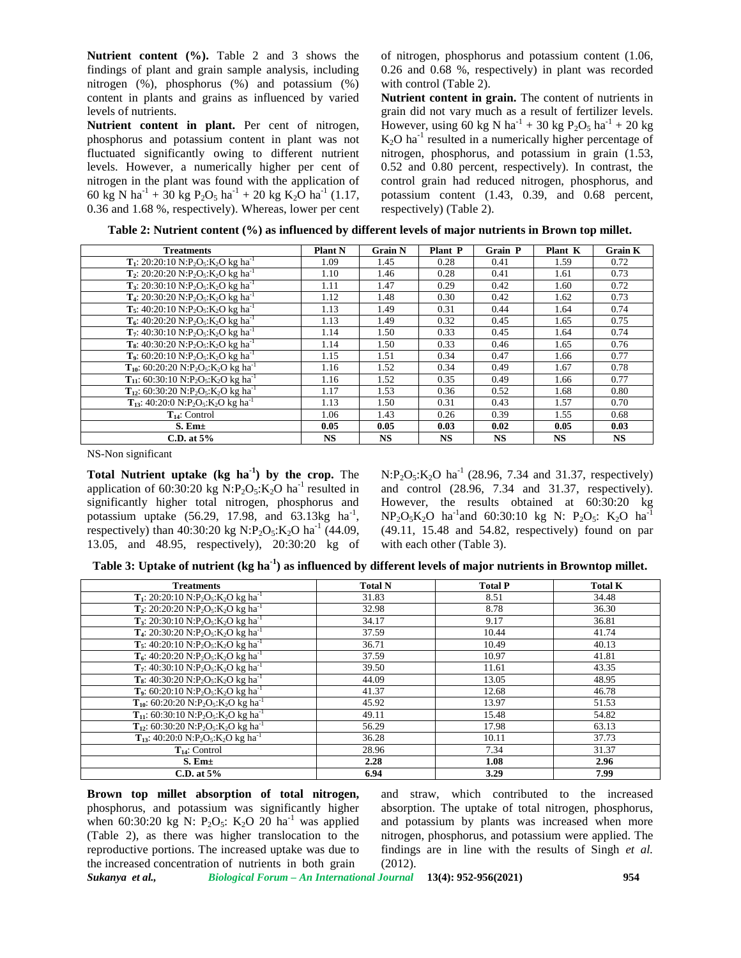**Nutrient content (%).** Table 2 and 3 shows the findings of plant and grain sample analysis, including nitrogen (%), phosphorus (%) and potassium (%) content in plants and grains as influenced by varied levels of nutrients.

**Nutrient content in plant.** Per cent of nitrogen, phosphorus and potassium content in plant was not fluctuated significantly owing to different nutrient levels. However, a numerically higher per cent of nitrogen in the plant was found with the application of 60 kg N ha<sup>-1</sup> + 30 kg P<sub>2</sub>O<sub>5</sub> ha<sup>-1</sup> + 20 kg K<sub>2</sub>O ha<sup>-1</sup> (1.17, 0.36 and 1.68 %, respectively). Whereas, lower per cent of nitrogen, phosphorus and potassium content (1.06, 0.26 and 0.68 %, respectively) in plant was recorded with control (Table 2).

**Nutrient content in grain.** The content of nutrients in grain did not vary much as a result of fertilizer levels. However, using 60 kg N ha<sup>-1</sup> + 30 kg P<sub>2</sub>O<sub>5</sub> ha<sup>-1</sup> + 20 kg  $K<sub>2</sub>O$  ha<sup>-1</sup> resulted in a numerically higher percentage of nitrogen, phosphorus, and potassium in grain (1.53, 0.52 and 0.80 percent, respectively). In contrast, the control grain had reduced nitrogen, phosphorus, and potassium content (1.43, 0.39, and 0.68 percent, respectively) (Table 2).

| <b>Treatments</b>                                                                                      | <b>Plant N</b> | <b>Grain N</b> | Plant P   | <b>Grain P</b> | Plant K   | <b>Grain K</b> |
|--------------------------------------------------------------------------------------------------------|----------------|----------------|-----------|----------------|-----------|----------------|
| <b>T</b> <sub>1</sub> : 20:20:10 N:P <sub>2</sub> O <sub>5</sub> :K <sub>2</sub> O kg ha <sup>-1</sup> | 1.09           | 1.45           | 0.28      | 0.41           | 1.59      | 0.72           |
| <b>T</b> <sub>2</sub> : 20:20:20 N:P <sub>2</sub> O <sub>5</sub> :K <sub>2</sub> O kg ha <sup>-1</sup> | 1.10           | 1.46           | 0.28      | 0.41           | 1.61      | 0.73           |
| <b>T<sub>3</sub></b> : 20:30:10 N:P <sub>2</sub> O <sub>5</sub> :K <sub>2</sub> O kg ha <sup>-1</sup>  | 1.11           | 1.47           | 0.29      | 0.42           | 1.60      | 0.72           |
| T <sub>4</sub> : 20:30:20 N:P <sub>2</sub> O <sub>5</sub> :K <sub>2</sub> O kg ha <sup>-1</sup>        | 1.12           | 1.48           | 0.30      | 0.42           | 1.62      | 0.73           |
| <b>T</b> <sub>5</sub> : 40:20:10 N:P <sub>2</sub> O <sub>5</sub> :K <sub>2</sub> O kg ha <sup>-1</sup> | 1.13           | 1.49           | 0.31      | 0.44           | 1.64      | 0.74           |
| $T_6$ : 40:20:20 N:P <sub>2</sub> O <sub>5</sub> :K <sub>2</sub> O kg ha <sup>-1</sup>                 | 1.13           | 1.49           | 0.32      | 0.45           | 1.65      | 0.75           |
| $T_7$ : 40:30:10 N:P <sub>2</sub> O <sub>5</sub> :K <sub>2</sub> O kg ha <sup>-1</sup>                 | 1.14           | 1.50           | 0.33      | 0.45           | 1.64      | 0.74           |
| <b>T<sub>s</sub></b> : 40:30:20 N:P <sub>2</sub> O <sub>5</sub> :K <sub>2</sub> O kg ha <sup>-1</sup>  | 1.14           | 1.50           | 0.33      | 0.46           | 1.65      | 0.76           |
| T <sub>9</sub> : 60:20:10 N:P <sub>2</sub> O <sub>5</sub> :K <sub>2</sub> O kg ha <sup>-1</sup>        | 1.15           | 1.51           | 0.34      | 0.47           | 1.66      | 0.77           |
| $T_{10}$ : 60:20:20 N:P <sub>2</sub> O <sub>5</sub> :K <sub>2</sub> O kg ha <sup>-1</sup>              | 1.16           | 1.52           | 0.34      | 0.49           | 1.67      | 0.78           |
| T <sub>11</sub> : 60:30:10 N:P <sub>2</sub> O <sub>5</sub> :K <sub>2</sub> O kg ha <sup>-1</sup>       | 1.16           | 1.52           | 0.35      | 0.49           | 1.66      | 0.77           |
| $T_{12}$ : 60:30:20 N:P <sub>2</sub> O <sub>5</sub> :K <sub>2</sub> O kg ha <sup>-1</sup>              | 1.17           | 1.53           | 0.36      | 0.52           | 1.68      | 0.80           |
| $T_{13}$ : 40:20:0 N:P <sub>2</sub> O <sub>5</sub> :K <sub>2</sub> O kg ha <sup>-1</sup>               | 1.13           | 1.50           | 0.31      | 0.43           | 1.57      | 0.70           |
| $T_{14}$ : Control                                                                                     | 1.06           | 1.43           | 0.26      | 0.39           | 1.55      | 0.68           |
| $S.$ Em $\pm$                                                                                          | 0.05           | 0.05           | 0.03      | 0.02           | 0.05      | 0.03           |
| C.D. at $5%$                                                                                           | <b>NS</b>      | <b>NS</b>      | <b>NS</b> | <b>NS</b>      | <b>NS</b> | <b>NS</b>      |

NS-Non significant

**Total Nutrient uptake (kg ha-1) by the crop.** The application of 60:30:20 kg N:P<sub>2</sub>O<sub>5</sub>:K<sub>2</sub>O ha<sup>-1</sup> resulted in significantly higher total nitrogen, phosphorus and potassium uptake  $(56.29, 17.98, \text{ and } 63.13 \text{kg h}a^{-1}, \text{ N}$ respectively) than 40:30:20 kg N:P<sub>2</sub>O<sub>5</sub>:K<sub>2</sub>O ha<sup>-1</sup> (44.09, 13.05, and 48.95, respectively), 20:30:20 kg of

 $N: P_2O_5: K_2O$  ha<sup>-1</sup> (28.96, 7.34 and 31.37, respectively) and control (28.96, 7.34 and 31.37, respectively). However, the results obtained at 60:30:20 kg  $NP_2O_5K_2O$  ha<sup>-1</sup>and 60:30:10 kg N:  $P_2O_5$ :  $K_2O$  ha<sup>-1</sup> (49.11, 15.48 and 54.82, respectively) found on par with each other (Table 3).

**Table 3: Uptake of nutrient (kg ha-1) as influenced by different levels of major nutrients in Browntop millet.**

| <b>Treatments</b>                                                                                      | <b>Total N</b> | <b>Total P</b> | <b>Total K</b> |
|--------------------------------------------------------------------------------------------------------|----------------|----------------|----------------|
| T <sub>1</sub> : 20:20:10 N:P <sub>2</sub> O <sub>5</sub> :K <sub>2</sub> O kg ha <sup>-1</sup>        | 31.83          | 8.51           | 34.48          |
| T <sub>2</sub> : 20:20:20 N:P <sub>2</sub> O <sub>5</sub> :K <sub>2</sub> O kg ha <sup>-1</sup>        | 32.98          | 8.78           | 36.30          |
| T <sub>3</sub> : 20:30:10 N:P <sub>2</sub> O <sub>5</sub> :K <sub>2</sub> O kg ha <sup>-1</sup>        | 34.17          | 9.17           | 36.81          |
| T <sub>4</sub> : 20:30:20 N:P <sub>2</sub> O <sub>5</sub> :K <sub>2</sub> O kg ha <sup>-1</sup>        | 37.59          | 10.44          | 41.74          |
| T <sub>5</sub> : 40:20:10 N:P <sub>2</sub> O <sub>5</sub> :K <sub>2</sub> O kg ha <sup>-1</sup>        | 36.71          | 10.49          | 40.13          |
| $T_6$ : 40:20:20 N:P <sub>2</sub> O <sub>5</sub> :K <sub>2</sub> O kg ha <sup>-1</sup>                 | 37.59          | 10.97          | 41.81          |
| $T_7$ : 40:30:10 N:P <sub>2</sub> O <sub>5</sub> :K <sub>2</sub> O kg ha <sup>-1</sup>                 | 39.50          | 11.61          | 43.35          |
| $T_8$ : 40:30:20 N:P <sub>2</sub> O <sub>5</sub> :K <sub>2</sub> O kg ha <sup>-1</sup>                 | 44.09          | 13.05          | 48.95          |
| T <sub>9</sub> : 60:20:10 N:P <sub>2</sub> O <sub>5</sub> :K <sub>2</sub> O kg ha <sup>-1</sup>        | 41.37          | 12.68          | 46.78          |
| T <sub>10</sub> : 60:20:20 N:P <sub>2</sub> O <sub>5</sub> :K <sub>2</sub> O kg ha <sup>-1</sup>       | 45.92          | 13.97          | 51.53          |
| $T_{11}$ : 60:30:10 N:P <sub>2</sub> O <sub>5</sub> :K <sub>2</sub> O kg ha <sup>-1</sup>              | 49.11          | 15.48          | 54.82          |
| T <sub>12</sub> : 60:30:20 N:P <sub>2</sub> O <sub>5</sub> :K <sub>2</sub> O kg ha <sup>-1</sup>       | 56.29          | 17.98          | 63.13          |
| <b>T</b> <sub>13</sub> : 40:20:0 N:P <sub>2</sub> O <sub>5</sub> :K <sub>2</sub> O kg ha <sup>-1</sup> | 36.28          | 10.11          | 37.73          |
| $T_{14}$ : Control                                                                                     | 28.96          | 7.34           | 31.37          |
| $S.$ Em $\pm$                                                                                          | 2.28           | 1.08           | 2.96           |
| C.D. at $5%$                                                                                           | 6.94           | 3.29           | 7.99           |

*Sukanya et al., Biological Forum – An International Journal* **13(4): 952-956(2021) 954 Brown top millet absorption of total nitrogen,** phosphorus, and potassium was significantly higher when 60:30:20 kg N:  $P_2O_5$ : K<sub>2</sub>O 20 ha<sup>-1</sup> was applied (Table 2), as there was higher translocation to the reproductive portions. The increased uptake was due to the increased concentration of nutrients in both grain

and straw, which contributed to the increased absorption. The uptake of total nitrogen, phosphorus, and potassium by plants was increased when more nitrogen, phosphorus, and potassium were applied. The findings are in line with the results of Singh *et al.* (2012).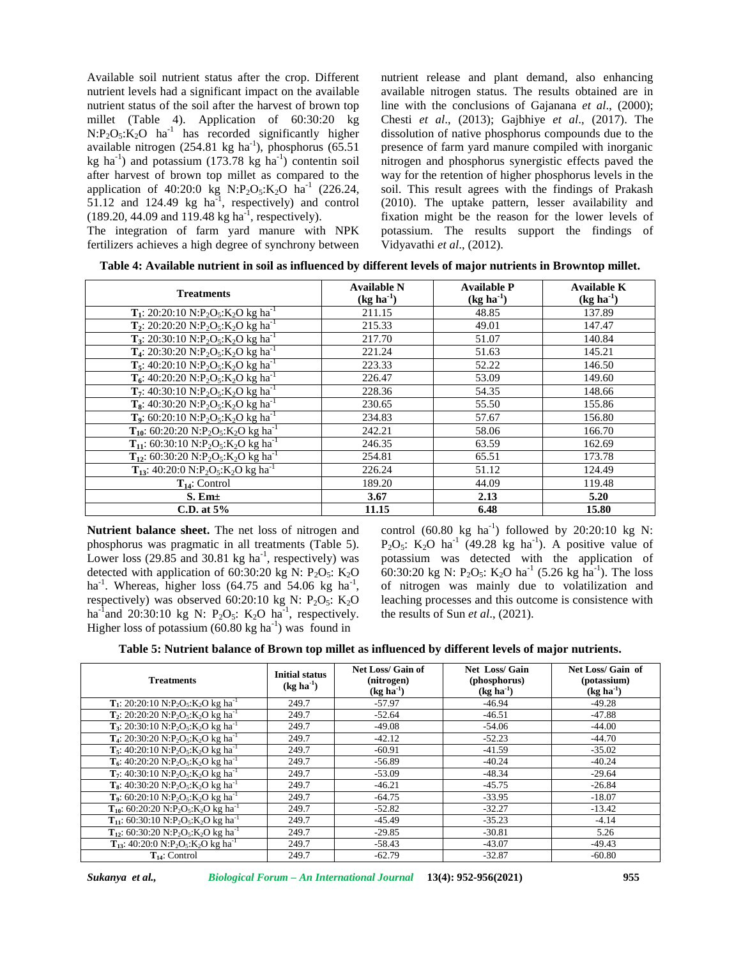Available soil nutrient status after the crop. Different nutrient levels had a significant impact on the available nutrient status of the soil after the harvest of brown top millet (Table 4). Application of 60:30:20 kg  $N: P_2O_5: K_2O$  ha<sup>-1</sup> has recorded significantly higher available nitrogen  $(254.81 \text{ kg} \text{ ha}^{-1})$ , phosphorus  $(65.51 \text{ m})$ kg ha<sup>-1</sup>) and potassium (173.78 kg ha<sup>-1</sup>) contentin soil after harvest of brown top millet as compared to the application of 40:20:0 kg  $N: P_2O_5: K_2O$  ha<sup>-1</sup> (226.24,  $51.12$  and  $124.49$  kg ha<sup>-1</sup>, respectively) and control (  $(189.20, 44.09, \text{ and } 119.48 \text{ kg ha}^{-1}$ , respectively).

The integration of farm yard manure with NPK fertilizers achieves a high degree of synchrony between nutrient release and plant demand, also enhancing available nitrogen status. The results obtained are in line with the conclusions of Gajanana *et al*., (2000); Chesti *et al*., (2013); Gajbhiye *et al*., (2017). The dissolution of native phosphorus compounds due to the presence of farm yard manure compiled with inorganic nitrogen and phosphorus synergistic effects paved the way for the retention of higher phosphorus levels in the soil. This result agrees with the findings of Prakash (2010). The uptake pattern, lesser availability and fixation might be the reason for the lower levels of potassium. The results support the findings of Vidyavathi *et al*., (2012).

| Table 4: Available nutrient in soil as influenced by different levels of major nutrients in Browntop millet. |  |
|--------------------------------------------------------------------------------------------------------------|--|
|                                                                                                              |  |

| <b>Treatments</b>                                                                                     | <b>Available N</b> | <b>Available P</b> | Available K |
|-------------------------------------------------------------------------------------------------------|--------------------|--------------------|-------------|
|                                                                                                       | $(kg ha^{-1})$     | $(kg ha-1)$        | $(kg ha-1)$ |
| $T_1$ : 20:20:10 N:P <sub>2</sub> O <sub>5</sub> :K <sub>2</sub> O kg ha <sup>-1</sup>                | 211.15             | 48.85              | 137.89      |
| $T_2$ : 20:20:20 N:P <sub>2</sub> O <sub>5</sub> :K <sub>2</sub> O kg ha <sup>-1</sup>                | 215.33             | 49.01              | 147.47      |
| <b>T<sub>3</sub></b> : 20:30:10 N:P <sub>2</sub> O <sub>5</sub> :K <sub>2</sub> O kg ha <sup>-1</sup> | 217.70             | 51.07              | 140.84      |
| <b>T<sub>4</sub></b> : 20:30:20 N:P <sub>2</sub> O <sub>5</sub> :K <sub>2</sub> O kg ha <sup>-1</sup> | 221.24             | 51.63              | 145.21      |
| $T_5$ : 40:20:10 N:P <sub>2</sub> O <sub>5</sub> :K <sub>2</sub> O kg ha <sup>-1</sup>                | 223.33             | 52.22              | 146.50      |
| $T_6$ : 40:20:20 N:P <sub>2</sub> O <sub>5</sub> :K <sub>2</sub> O kg ha <sup>-1</sup>                | 226.47             | 53.09              | 149.60      |
| $T_7$ : 40:30:10 N:P <sub>2</sub> O <sub>5</sub> :K <sub>2</sub> O kg ha <sup>-1</sup>                | 228.36             | 54.35              | 148.66      |
| <b>T<sub>8</sub></b> : 40:30:20 N:P <sub>2</sub> O <sub>5</sub> :K <sub>2</sub> O kg ha <sup>-1</sup> | 230.65             | 55.50              | 155.86      |
| <b>T<sub>9</sub></b> : 60:20:10 N:P <sub>2</sub> O <sub>5</sub> :K <sub>2</sub> O kg ha <sup>-1</sup> | 234.83             | 57.67              | 156.80      |
| $T_{10}$ : 60:20:20 N:P <sub>2</sub> O <sub>5</sub> :K <sub>2</sub> O kg ha <sup>-1</sup>             | 242.21             | 58.06              | 166.70      |
| $T_{11}$ : 60:30:10 N:P <sub>2</sub> O <sub>5</sub> :K <sub>2</sub> O kg ha <sup>-1</sup>             | 246.35             | 63.59              | 162.69      |
| $T_{12}$ : 60:30:20 N:P <sub>2</sub> O <sub>5</sub> :K <sub>2</sub> O kg ha <sup>-1</sup>             | 254.81             | 65.51              | 173.78      |
| $T_{13}$ : 40:20:0 N:P <sub>2</sub> O <sub>5</sub> :K <sub>2</sub> O kg ha <sup>-1</sup>              | 226.24             | 51.12              | 124.49      |
| $T_{14}$ : Control                                                                                    | 189.20             | 44.09              | 119.48      |
| $S.$ Em $\pm$                                                                                         | 3.67               | 2.13               | 5.20        |
| C.D. at $5\%$                                                                                         | 11.15              | 6.48               | 15.80       |

**Nutrient balance sheet.** The net loss of nitrogen and phosphorus was pragmatic in all treatments (Table 5). Lower loss  $(29.85 \text{ and } 30.81 \text{ kg ha}^{-1}$ , respectively) was po detected with application of 60:30:20 kg N:  $P_2O_5$ : K<sub>2</sub>O ha<sup>-1</sup>. Whereas, higher loss  $(64.75 \text{ and } 54.06 \text{ kg} \text{ ha}^{-1}$ , c , respectively) was observed 60:20:10 kg N:  $P_2O_5$ : K<sub>2</sub>O ha<sup>-1</sup>and 20:30:10 kg N: P<sub>2</sub>O<sub>5</sub>: K<sub>2</sub>O ha<sup>-1</sup>, respectively. Higher loss of potassium  $(60.80 \text{ kg ha}^{-1})$  was found in

control (60.80 kg ha<sup>-1</sup>) followed by 20:20:10 kg N:  $P_2O_5$ : K<sub>2</sub>O ha<sup>-1</sup> (49.28 kg ha<sup>-1</sup>). A positive value of potassium was detected with the application of 60:30:20 kg N:  $P_2O_5$ : K<sub>2</sub>O ha<sup>-1</sup> (5.26 kg ha<sup>-1</sup>). The loss of nitrogen was mainly due to volatilization and leaching processes and this outcome is consistence with the results of Sun *et al*., (2021).

| <b>Treatments</b>                                                                                      | <b>Initial status</b><br>$(\text{kg} \text{ha}^{-1})$ | <b>Net Loss/Gain of</b><br>(nitrogen)<br>$(kg ha-1)$ | Net Loss/ Gain<br>(phosphorus)<br>$(kg ha-1)$ | Net Loss/ Gain of<br>(potassium)<br>$(kg ha-1)$ |
|--------------------------------------------------------------------------------------------------------|-------------------------------------------------------|------------------------------------------------------|-----------------------------------------------|-------------------------------------------------|
| $T_1$ : 20:20:10 N:P <sub>2</sub> O <sub>5</sub> :K <sub>2</sub> O kg ha <sup>-1</sup>                 | 249.7                                                 | $-57.97$                                             | $-46.94$                                      | $-49.28$                                        |
| $T_2$ : 20:20:20 N:P <sub>2</sub> O <sub>5</sub> :K <sub>2</sub> O kg ha <sup>-1</sup>                 | 249.7                                                 | $-52.64$                                             | $-46.51$                                      | $-47.88$                                        |
| T <sub>3</sub> : 20:30:10 N:P <sub>2</sub> O <sub>5</sub> :K <sub>2</sub> O kg ha <sup>-1</sup>        | 249.7                                                 | $-49.08$                                             | $-54.06$                                      | $-44.00$                                        |
| <b>T<sub>4</sub></b> : 20:30:20 N:P <sub>2</sub> O <sub>5</sub> :K <sub>2</sub> O kg ha <sup>-1</sup>  | 249.7                                                 | $-42.12$                                             | $-52.23$                                      | $-44.70$                                        |
| T <sub>5</sub> : 40:20:10 N:P <sub>2</sub> O <sub>5</sub> :K <sub>2</sub> O kg ha <sup>-1</sup>        | 249.7                                                 | $-60.91$                                             | $-41.59$                                      | $-35.02$                                        |
| $T_6$ : 40:20:20 N:P <sub>2</sub> O <sub>5</sub> :K <sub>2</sub> O kg ha <sup>-1</sup>                 | 249.7                                                 | $-56.89$                                             | $-40.24$                                      | $-40.24$                                        |
| $T_7$ : 40:30:10 N:P <sub>2</sub> O <sub>5</sub> :K <sub>2</sub> O kg ha <sup>-1</sup>                 | 249.7                                                 | $-53.09$                                             | $-48.34$                                      | $-29.64$                                        |
| <b>T<sub>8</sub></b> : 40:30:20 N:P <sub>2</sub> O <sub>5</sub> :K <sub>2</sub> O kg ha <sup>-1</sup>  | 249.7                                                 | $-46.21$                                             | $-45.75$                                      | $-26.84$                                        |
| T <sub>9</sub> : 60:20:10 N:P <sub>2</sub> O <sub>5</sub> :K <sub>2</sub> O kg ha <sup>-1</sup>        | 249.7                                                 | $-64.75$                                             | $-33.95$                                      | $-18.07$                                        |
| $T_{10}$ : 60:20:20 N:P <sub>2</sub> O <sub>5</sub> :K <sub>2</sub> O kg ha <sup>-1</sup>              | 249.7                                                 | $-52.82$                                             | $-32.27$                                      | $-13.42$                                        |
| $T_{11}$ : 60:30:10 N:P <sub>2</sub> O <sub>5</sub> :K <sub>2</sub> O kg ha <sup>-1</sup>              | 249.7                                                 | $-45.49$                                             | $-35.23$                                      | $-4.14$                                         |
| T <sub>12</sub> : 60:30:20 N:P <sub>2</sub> O <sub>5</sub> :K <sub>2</sub> O kg ha <sup>-1</sup>       | 249.7                                                 | $-29.85$                                             | $-30.81$                                      | 5.26                                            |
| <b>T</b> <sub>13</sub> : 40:20:0 N:P <sub>2</sub> O <sub>5</sub> :K <sub>2</sub> O kg ha <sup>-1</sup> | 249.7                                                 | $-58.43$                                             | $-43.07$                                      | $-49.43$                                        |
| $T_{14}$ : Control                                                                                     | 249.7                                                 | $-62.79$                                             | $-32.87$                                      | $-60.80$                                        |

*Sukanya et al., Biological Forum – An International Journal* **13(4): 952-956(2021) 955**